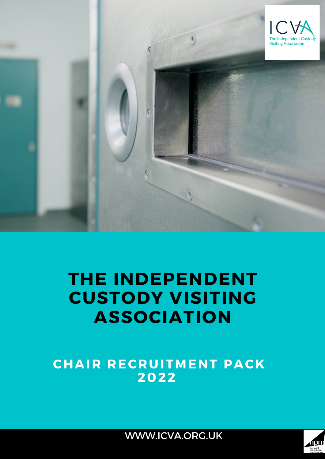

# **THE INDEPENDENT CUSTODY VISITING ASSOCIATION**

**CHAIR RECRUITMENT PACK 2022**



WWW.ICVA.ORG.UK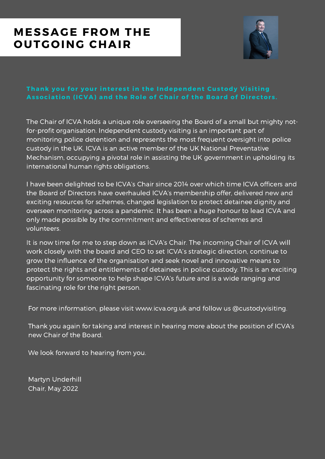## **MESSAGE FROM THE OUTGOING CHAIR**



### **Thank you for your interes t in the Independent Cus tody Vi s i t ing As sociat ion (ICVA) and the Role of Chai r of the Board of Di rector s .**

The Chair of ICVA holds a unique role overseeing the Board of a small but mighty notfor-profit organisation. Independent custody visiting is an important part of monitoring police detention and represents the most frequent oversight into police custody in the UK. ICVA is an active member of the UK National Preventative Mechanism, occupying a pivotal role in assisting the UK government in upholding its international human rights obligations.

I have been delighted to be ICVA's Chair since 2014 over which time ICVA officers and the Board of Directors have overhauled ICVA's membership offer, delivered new and exciting resources for schemes, changed legislation to protect detainee dignity and overseen monitoring across a pandemic. It has been a huge honour to lead ICVA and only made possible by the commitment and effectiveness of schemes and volunteers.

It is now time for me to step down as ICVA's Chair. The incoming Chair of ICVA will work closely with the board and CEO to set ICVA's strategic direction, continue to grow the influence of the organisation and seek novel and innovative means to protect the rights and entitlements of detainees in police custody. This is an exciting opportunity for someone to help shape ICVA's future and is a wide ranging and fascinating role for the right person.

For more information, please visit [www.icva.org.uk](http://www.icva.org.uk/) and follow us @custodyvisiting.

Thank you again for taking and interest in hearing more about the position of ICVA's new Chair of the Board.

We look forward to hearing from you.

Martyn Underhill Chair, May 2022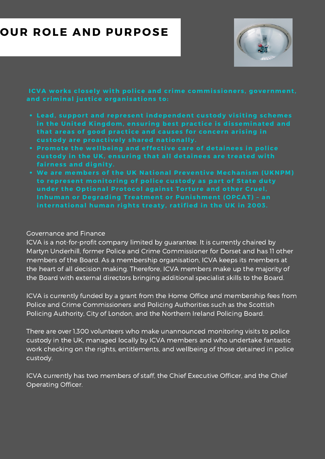## **OUR ROLE AND PURPOSE**



**ICVA** works closely with police and crime commissioners, government, **and cr iminal jus t ice organi sat ions to:**

- **Lead, suppor t and represent independent cus tody vi s i t ing schemes in the Uni ted Kingdom, ensur ing bes t pract ice i s di s seminated and that areas of good pract ice and causes for concern ar i s ing in cus tody are proact ively shared nat ionally.**
- **Promote the wellbeing and effect ive care of detainees in police cus tody in the UK, ensur ing that all detainees are t reated wi th fai rnes s and digni ty.**
- **We are member s of the UK Nat ional Prevent ive Mechani sm (UKNPM) to represent moni tor ing of police cus tody as par t of State duty under the Opt ional Protocol agains t Tor ture and other Cruel, Inhuman or Degrading Treatment or Puni shment (OPCAT) – an internat ional human r ight s t reaty, rat ified in the UK in 2003.**

### Governance and Finance

ICVA is a not-for-profit company limited by guarantee. It is currently chaired by Martyn Underhill, former Police and Crime Commissioner for Dorset and has 11 other members of the Board. As a membership organisation, ICVA keeps its members at the heart of all decision making. Therefore, ICVA members make up the majority of the Board with external directors bringing additional specialist skills to the Board.

ICVA is currently funded by a grant from the Home Office and membership fees from Police and Crime Commissioners and Policing Authorities such as the Scottish Policing Authority, City of London, and the Northern Ireland Policing Board.

There are over 1,300 volunteers who make unannounced monitoring visits to police custody in the UK, managed locally by ICVA members and who undertake fantastic work checking on the rights, entitlements, and wellbeing of those detained in police custody.

ICVA currently has two members of staff, the Chief Executive Officer, and the Chief Operating Officer.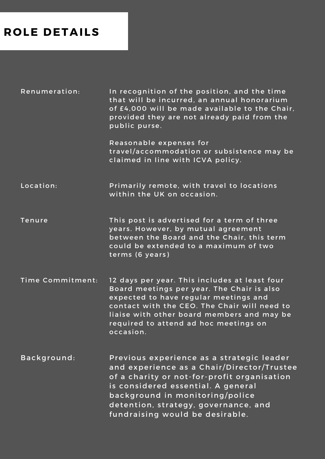## **ROLE DETAILS**

Renumerat ion: In recognition of the position, and the time that will be incurred, an annual honorarium of £4,000 will be made available to the Chair, provided they are not already paid from the public purse.

> Reasonable expenses for travel/accommodation or subsistence may be claimed in line with ICVA policy.

Location: Primarily remote, with travel to locations within the UK on occasion.

Tenure This post is advertised for a term of three years. However, by mutual agreement between the Board and the Chair, this term could be extended to a maximum of two terms (6 years)

Time Commitment: 12 days per year. This includes at least four Board meetings per year. The Chair is also expected to have regular meetings and contact with the CEO. The Chair will need to liaise with other board members and may be required to attend ad hoc meetings on occas ion.

Background: Previous experience as a strategic leader and experience as a Chair/Director/Trustee of a charity or not-for-profit organisation is considered essential. A general background in monitoring/police detention, strategy, governance, and fundraising would be desirable.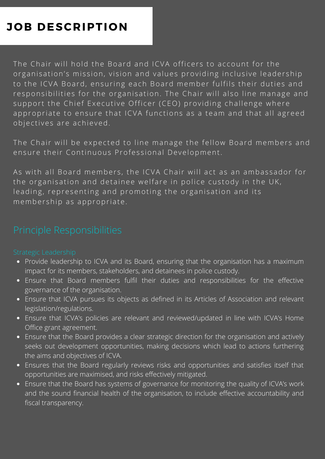## **JOB DESCRIPTION**

The Chair will hold the Board and ICVA officers to account for the organisation's mission, vision and values providing inclusive leadership to the ICVA Board, ensuring each Board member fulfils their duties and responsibilities for the organisation. The Chair will also line manage and support the Chief Executive Officer (CEO) providing challenge where appropriate to ensure that ICVA functions as a team and that all agreed objectives are achieved.

The Chair will be expected to line manage the fellow Board members and ensure their Continuous Professional Development.

As with all Board members, the ICVA Chair will act as an ambassador for the organisation and detainee welfare in police custody in the UK, leading, representing and promoting the organisation and its membership as appropriate.

- Provide leadership to ICVA and its Board, ensuring that the organisation has a maximum impact for its members, stakeholders, and detainees in police custody.
- Ensure that Board members fulfil their duties and responsibilities for the effective governance of the organisation.
- Ensure that ICVA pursues its objects as defined in its Articles of Association and relevant legislation/regulations.
- Ensure that ICVA's policies are relevant and reviewed/updated in line with ICVA's Home Office grant agreement.
- Ensure that the Board provides a clear strategic direction for the organisation and actively seeks out development opportunities, making decisions which lead to actions furthering the aims and objectives of ICVA.
- Ensures that the Board regularly reviews risks and opportunities and satisfies itself that opportunities are maximised, and risks effectively mitigated.
- Ensure that the Board has systems of governance for monitoring the quality of ICVA's work and the sound financial health of the organisation, to include effective accountability and fiscal transparency.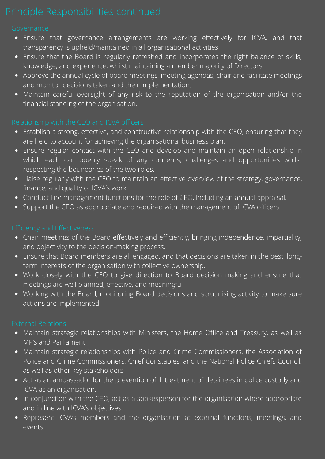- Ensure that governance arrangements are working effectively for ICVA, and that transparency is upheld/maintained in all organisational activities.
- Ensure that the Board is regularly refreshed and incorporates the right balance of skills, knowledge, and experience, whilst maintaining a member majority of Directors.
- Approve the annual cycle of board meetings, meeting agendas, chair and facilitate meetings and monitor decisions taken and their implementation.
- Maintain careful oversight of any risk to the reputation of the organisation and/or the financial standing of the organisation.

- **•** Establish a strong, effective, and constructive relationship with the CEO, ensuring that they are held to account for achieving the organisational business plan.
- Ensure regular contact with the CEO and develop and maintain an open relationship in which each can openly speak of any concerns, challenges and opportunities whilst respecting the boundaries of the two roles.
- Liaise regularly with the CEO to maintain an effective overview of the strategy, governance, finance, and quality of ICVA's work.
- Conduct line management functions for the role of CEO, including an annual appraisal.
- Support the CEO as appropriate and required with the management of ICVA officers.

- Chair meetings of the Board effectively and efficiently, bringing independence, impartiality, and objectivity to the decision-making process.
- Ensure that Board members are all engaged, and that decisions are taken in the best, longterm interests of the organisation with collective ownership.
- Work closely with the CEO to give direction to Board decision making and ensure that meetings are well planned, effective, and meaningful
- Working with the Board, monitoring Board decisions and scrutinising activity to make sure actions are implemented.

- Maintain strategic relationships with Ministers, the Home Office and Treasury, as well as MP's and Parliament
- Maintain strategic relationships with Police and Crime Commissioners, the Association of Police and Crime Commissioners, Chief Constables, and the National Police Chiefs Council, as well as other key stakeholders.
- Act as an ambassador for the prevention of ill treatment of detainees in police custody and ICVA as an organisation.
- In conjunction with the CEO, act as a spokesperson for the organisation where appropriate and in line with ICVA's objectives.
- Represent ICVA's members and the organisation at external functions, meetings, and events.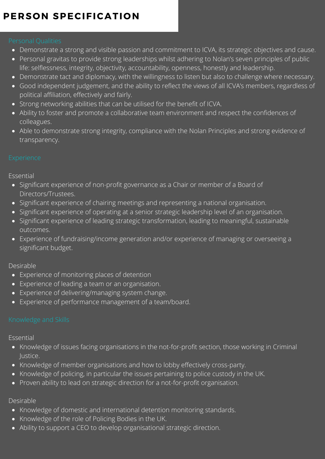## **PERSON SPECIFICATION**

- Demonstrate a strong and visible passion and commitment to ICVA, its strategic objectives and cause.
- Personal gravitas to provide strong leaderships whilst adhering to Nolan's seven principles of public life: selflessness, integrity, objectivity, accountability, openness, honestly and leadership.
- Demonstrate tact and diplomacy, with the willingness to listen but also to challenge where necessary.
- Good independent judgement, and the ability to reflect the views of all ICVA's members, regardless of political affiliation, effectively and fairly.
- Strong networking abilities that can be utilised for the benefit of ICVA.
- Ability to foster and promote a collaborative team environment and respect the confidences of colleagues.
- Able to demonstrate strong integrity, compliance with the Nolan Principles and strong evidence of transparency.

### Essential

- Significant experience of non-profit governance as a Chair or member of a Board of Directors/Trustees.
- Significant experience of chairing meetings and representing a national organisation.
- Significant experience of operating at a senior strategic leadership level of an organisation.
- Significant experience of leading strategic transformation, leading to meaningful, sustainable outcomes.
- Experience of fundraising/income generation and/or experience of managing or overseeing a significant budget.

### Desirable

- Experience of monitoring places of detention
- Experience of leading a team or an organisation.
- Experience of delivering/managing system change.
- Experience of performance management of a team/board.

### Essential

- Knowledge of issues facing organisations in the not-for-profit section, those working in Criminal Justice.
- Knowledge of member organisations and how to lobby effectively cross-party.
- Knowledge of policing, in particular the issues pertaining to police custody in the UK.
- Proven ability to lead on strategic direction for a not-for-profit organisation.

### Desirable

- Knowledge of domestic and international detention monitoring standards.
- Knowledge of the role of Policing Bodies in the UK.
- Ability to support a CEO to develop organisational strategic direction.